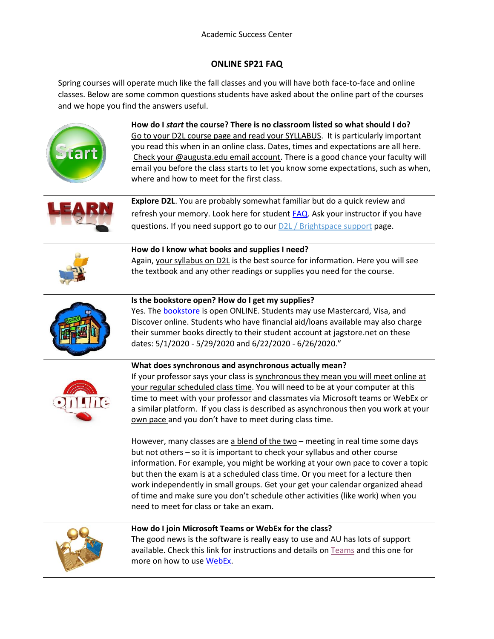## **ONLINE SP21 FAQ**

Spring courses will operate much like the fall classes and you will have both face-to-face and online classes. Below are some common questions students have asked about the online part of the courses and we hope you find the answers useful.



a similar platform. If you class is described as asynchronous then you work at your own pace and you don't have to meet during class time.

However, many classes are a blend of the two – meeting in real time some days but not others – so it is important to check your syllabus and other course information. For example, you might be working at your own pace to cover a topic but then the exam is at a scheduled class time. Or you meet for a lecture then work independently in small groups. Get your get your calendar organized ahead of time and make sure you don't schedule other activities (like work) when you need to meet for class or take an exam.



## **How do I join Microsoft Teams or WebEx for the class?**

The good news is the software is really easy to use and AU has lots of support available. Check this link for instructions and details on [Teams](https://www.augusta.edu/its/microsoftteams.php) and this one for more on how to use [WebEx.](https://www.augusta.edu/its/webexmeetings.php)